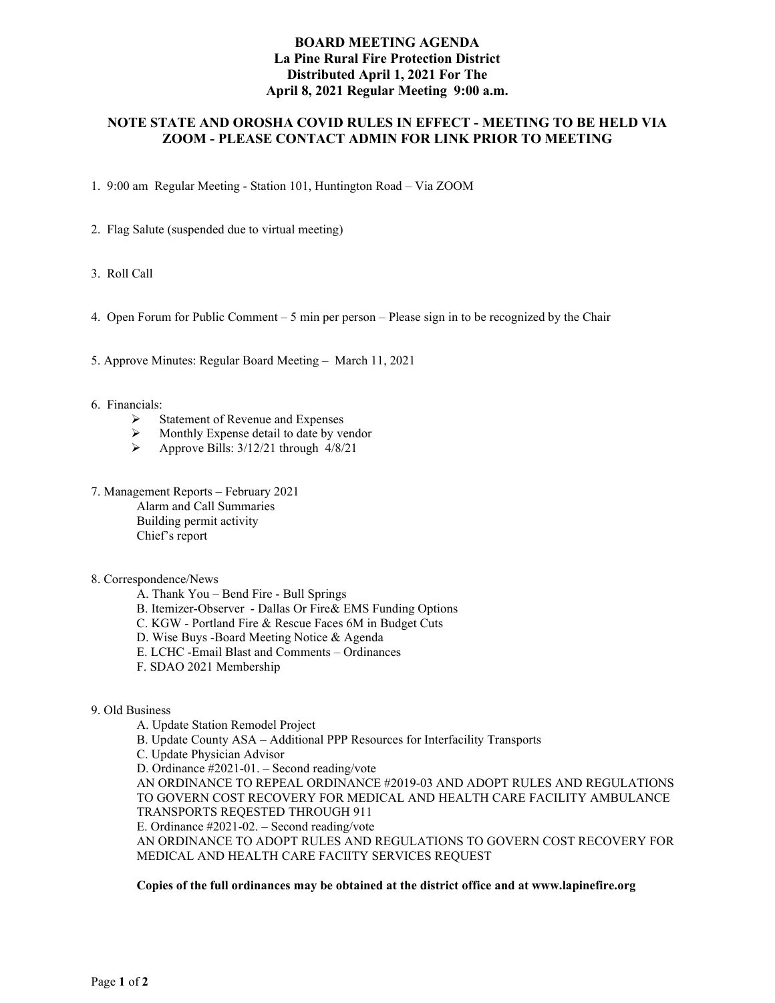## **BOARD MEETING AGENDA La Pine Rural Fire Protection District Distributed April 1, 2021 For The April 8, 2021 Regular Meeting 9:00 a.m.**

# **NOTE STATE AND OROSHA COVID RULES IN EFFECT - MEETING TO BE HELD VIA ZOOM - PLEASE CONTACT ADMIN FOR LINK PRIOR TO MEETING**

1. 9:00 am Regular Meeting - Station 101, Huntington Road – Via ZOOM

- 2. Flag Salute (suspended due to virtual meeting)
- 3. Roll Call
- 4. Open Forum for Public Comment 5 min per person Please sign in to be recognized by the Chair

5. Approve Minutes: Regular Board Meeting – March 11, 2021

#### 6. Financials:

- $\triangleright$  Statement of Revenue and Expenses
- $\triangleright$  Monthly Expense detail to date by vendor
- $\triangleright$  Approve Bills: 3/12/21 through 4/8/21
- 7. Management Reports February 2021 Alarm and Call Summaries Building permit activity Chief's report

#### 8. Correspondence/News

- A. Thank You Bend Fire Bull Springs
- B. Itemizer-Observer Dallas Or Fire& EMS Funding Options
- C. KGW Portland Fire & Rescue Faces 6M in Budget Cuts
- D. Wise Buys -Board Meeting Notice & Agenda
- E. LCHC -Email Blast and Comments Ordinances
- F. SDAO 2021 Membership

#### 9. Old Business

A. Update Station Remodel Project B. Update County ASA – Additional PPP Resources for Interfacility Transports C. Update Physician Advisor D. Ordinance #2021-01. – Second reading/vote AN ORDINANCE TO REPEAL ORDINANCE #2019-03 AND ADOPT RULES AND REGULATIONS TO GOVERN COST RECOVERY FOR MEDICAL AND HEALTH CARE FACILITY AMBULANCE TRANSPORTS REQESTED THROUGH 911 E. Ordinance #2021-02. – Second reading/vote AN ORDINANCE TO ADOPT RULES AND REGULATIONS TO GOVERN COST RECOVERY FOR MEDICAL AND HEALTH CARE FACIITY SERVICES REQUEST

#### **Copies of the full ordinances may be obtained at the district office and at www.lapinefire.org**